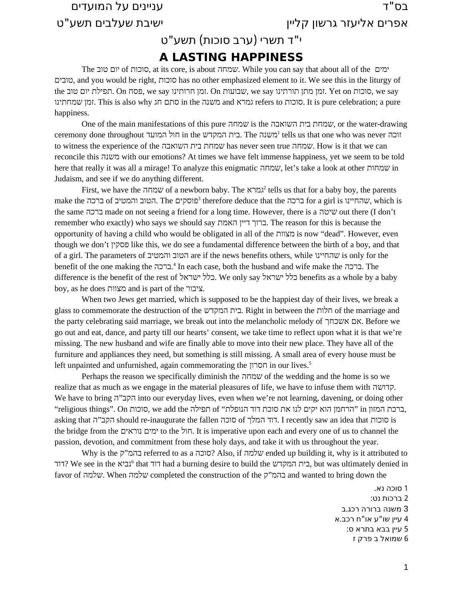# " בס ד עניינים על המועדים

אפרים אליעזר גרשון קליין " ישיבת שעלבים תשע ט

### י"ד תשרי (ערב סוכות) תשע"ט

#### **A LASTING HAPPINESS**

The טוב יום of סוכות, at its core, is about שמחה. While you can say that about all of the ימים טובים, and you would be right, סוכות has no other emphasized element to it. We see this in the liturgy of the סוכות On הפילת יום שוב we say שבועות On .סוכות we say שבועות we say . $\gamma$  we say שבועות we say . שמחתינו זמן. This is also why חג סתם in the משנה and גמרא refers to סוכות. It is pure celebration; a pure happiness.

One of the main manifestations of this pure שמחה is the השואבה בית שמחת, or the water-drawing ceremony done throughout המועד in the בית המקדש. The המקדש tells us that one who was never זוכה to witness the experience of the השואבה בית שמחת has never seen true שמחה. How is it that we can reconcile this משנה with our emotions? At times we have felt immense happiness, yet we seem to be told here that really it was all a mirage! To analyze this enigmatic שמחות, let's take a look at other שמחות Judaism, and see if we do anything different.

First, we have the עמחה of a newborn baby. The גמרא<sup>[2](#page-0-1)</sup> tells us that for a baby boy, the parents make the ברכה for a girl is הטוב והמטיב of ברכה agirl is הטוב והמטיב. The הטוב  $^3$  $^3$  therefore deduce that the ה the same ברכה made on not seeing a friend for a long time. However, there is a שיטה out there (I don't remember who exactly) who says we should say האמת דיין ברוך. The reason for this is because the opportunity of having a child who would be obligated in all of the מצוות is now "dead". However, even though we don't פסקין like this, we do see a fundamental difference between the birth of a boy, and that of a girl. The parameters of והמטיב הטוב are if the news benefits others, while שהחיינו is only for the benefit of the one making the ברכה. [4](#page-0-3) In each case, both the husband and wife make the ברכה. The difference is the benefit of the rest of ישראל כלל. We only say ישראל כלל benefits as a whole by a baby boy, as he does מצוות and is part of the ציבור.

When two Jews get married, which is supposed to be the happiest day of their lives, we break a glass to commemorate the destruction of the המקדש בית. Right in between the חלות of the marriage and the party celebrating said marriage, we break out into the melancholic melody of אשכחך אם. Before we go out and eat, dance, and party till our hearts' consent, we take time to reflect upon what it is that we're missing. The new husband and wife are finally able to move into their new place. They have all of the furniture and appliances they need, but something is still missing. A small area of every house must be left unpainted and unfurnished, again commemorating the חסרון in our lives.[5](#page-0-4)

Perhaps the reason we specifically diminish the שמחה of the wedding and the home is so we realize that as much as we engage in the material pleasures of life, we have to infuse them with קדושה. We have to bring ה"הקב into our everyday lives, even when we're not learning, davening, or doing other ,ברכת המזון in" הרחמן הוא יקים לנו את סוכת דוד הנופלת" of תפילה the add we ,סוכות On ."things religious" asking that הקב"ה should re-inaugurate the fallen הוד המלך. I recently saw an idea that המלך the bridge from the נוראים ימים to the חול. It is imperative upon each and every one of us to channel the passion, devotion, and commitment from these holy days, and take it with us throughout the year.

Why is the ק"בהמ referred to as a סוכה ?Also, if שלמה ended up building it, why is it attributed to דוד, We see in the כית המקדש, had a burning desire to build the בית המקדש, but was ultimately denied in favor of שלמה. When שלמה completed the construction of the ק"בהמ and wanted to bring down the

> <span id="page-0-5"></span><span id="page-0-4"></span><span id="page-0-3"></span><span id="page-0-2"></span><span id="page-0-1"></span><span id="page-0-0"></span> סוכה נא . ברכות נט : . משנה ברורה רכג ב 4 עיין שו"ע או"ח רכב.א עיין בבא בתרא ס : שמואל ב פרק ז